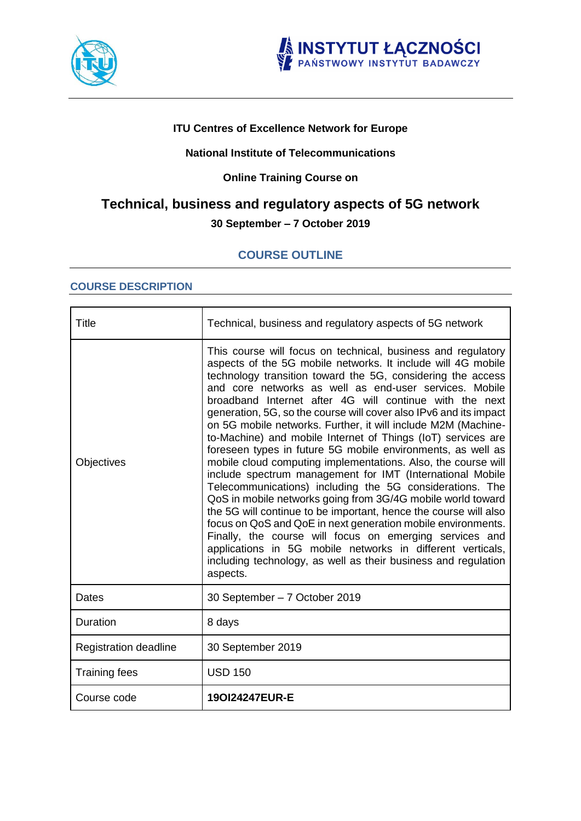



# **ITU Centres of Excellence Network for Europe**

# **National Institute of Telecommunications**

# **Online Training Course on**

# **Technical, business and regulatory aspects of 5G network 30 September – 7 October 2019**

# **COURSE OUTLINE**

# **COURSE DESCRIPTION**

| <b>Title</b>                 | Technical, business and regulatory aspects of 5G network                                                                                                                                                                                                                                                                                                                                                                                                                                                                                                                                                                                                                                                                                                                                                                                                                                                                                                                                                                                                                                                                                                                                  |
|------------------------------|-------------------------------------------------------------------------------------------------------------------------------------------------------------------------------------------------------------------------------------------------------------------------------------------------------------------------------------------------------------------------------------------------------------------------------------------------------------------------------------------------------------------------------------------------------------------------------------------------------------------------------------------------------------------------------------------------------------------------------------------------------------------------------------------------------------------------------------------------------------------------------------------------------------------------------------------------------------------------------------------------------------------------------------------------------------------------------------------------------------------------------------------------------------------------------------------|
| Objectives                   | This course will focus on technical, business and regulatory<br>aspects of the 5G mobile networks. It include will 4G mobile<br>technology transition toward the 5G, considering the access<br>and core networks as well as end-user services. Mobile<br>broadband Internet after 4G will continue with the next<br>generation, 5G, so the course will cover also IPv6 and its impact<br>on 5G mobile networks. Further, it will include M2M (Machine-<br>to-Machine) and mobile Internet of Things (IoT) services are<br>foreseen types in future 5G mobile environments, as well as<br>mobile cloud computing implementations. Also, the course will<br>include spectrum management for IMT (International Mobile<br>Telecommunications) including the 5G considerations. The<br>QoS in mobile networks going from 3G/4G mobile world toward<br>the 5G will continue to be important, hence the course will also<br>focus on QoS and QoE in next generation mobile environments.<br>Finally, the course will focus on emerging services and<br>applications in 5G mobile networks in different verticals,<br>including technology, as well as their business and regulation<br>aspects. |
| Dates                        | 30 September - 7 October 2019                                                                                                                                                                                                                                                                                                                                                                                                                                                                                                                                                                                                                                                                                                                                                                                                                                                                                                                                                                                                                                                                                                                                                             |
| Duration                     | 8 days                                                                                                                                                                                                                                                                                                                                                                                                                                                                                                                                                                                                                                                                                                                                                                                                                                                                                                                                                                                                                                                                                                                                                                                    |
| <b>Registration deadline</b> | 30 September 2019                                                                                                                                                                                                                                                                                                                                                                                                                                                                                                                                                                                                                                                                                                                                                                                                                                                                                                                                                                                                                                                                                                                                                                         |
| <b>Training fees</b>         | <b>USD 150</b>                                                                                                                                                                                                                                                                                                                                                                                                                                                                                                                                                                                                                                                                                                                                                                                                                                                                                                                                                                                                                                                                                                                                                                            |
| Course code                  | 190124247EUR-E                                                                                                                                                                                                                                                                                                                                                                                                                                                                                                                                                                                                                                                                                                                                                                                                                                                                                                                                                                                                                                                                                                                                                                            |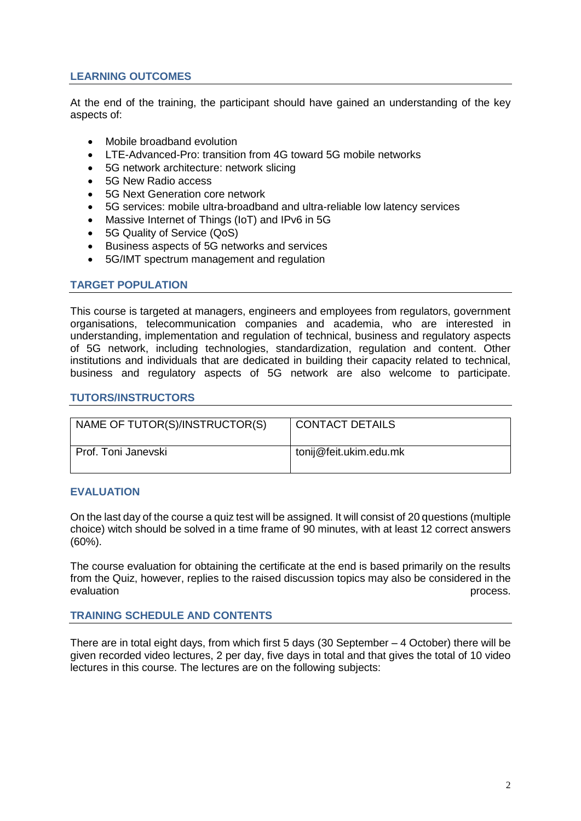# **LEARNING OUTCOMES**

At the end of the training, the participant should have gained an understanding of the key aspects of:

- Mobile broadband evolution
- LTE-Advanced-Pro: transition from 4G toward 5G mobile networks
- 5G network architecture: network slicing
- 5G New Radio access
- 5G Next Generation core network
- 5G services: mobile ultra-broadband and ultra-reliable low latency services
- Massive Internet of Things (IoT) and IPv6 in 5G
- 5G Quality of Service (QoS)
- Business aspects of 5G networks and services
- 5G/IMT spectrum management and regulation

#### **TARGET POPULATION**

This course is targeted at managers, engineers and employees from regulators, government organisations, telecommunication companies and academia, who are interested in understanding, implementation and regulation of technical, business and regulatory aspects of 5G network, including technologies, standardization, regulation and content. Other institutions and individuals that are dedicated in building their capacity related to technical, business and regulatory aspects of 5G network are also welcome to participate.

#### **TUTORS/INSTRUCTORS**

| NAME OF TUTOR(S)/INSTRUCTOR(S) | <b>CONTACT DETAILS</b> |
|--------------------------------|------------------------|
| Prof. Toni Janevski            | tonij@feit.ukim.edu.mk |

#### **EVALUATION**

On the last day of the course a quiz test will be assigned. It will consist of 20 questions (multiple choice) witch should be solved in a time frame of 90 minutes, with at least 12 correct answers (60%).

The course evaluation for obtaining the certificate at the end is based primarily on the results from the Quiz, however, replies to the raised discussion topics may also be considered in the evaluation **process.** 

#### **TRAINING SCHEDULE AND CONTENTS**

There are in total eight days, from which first 5 days (30 September – 4 October) there will be given recorded video lectures, 2 per day, five days in total and that gives the total of 10 video lectures in this course. The lectures are on the following subjects: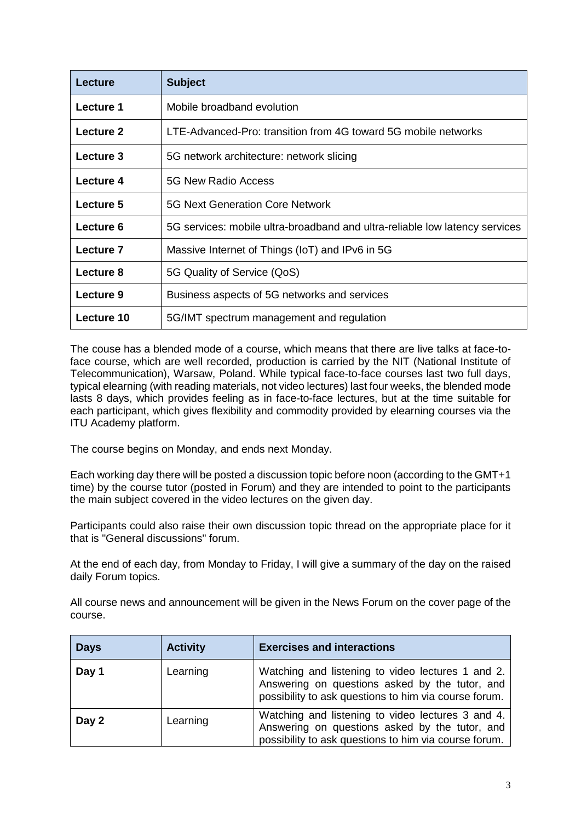| Lecture    | <b>Subject</b>                                                              |
|------------|-----------------------------------------------------------------------------|
| Lecture 1  | Mobile broadband evolution                                                  |
| Lecture 2  | LTE-Advanced-Pro: transition from 4G toward 5G mobile networks              |
| Lecture 3  | 5G network architecture: network slicing                                    |
| Lecture 4  | 5G New Radio Access                                                         |
| Lecture 5  | <b>5G Next Generation Core Network</b>                                      |
| Lecture 6  | 5G services: mobile ultra-broadband and ultra-reliable low latency services |
| Lecture 7  | Massive Internet of Things (IoT) and IPv6 in 5G                             |
| Lecture 8  | 5G Quality of Service (QoS)                                                 |
| Lecture 9  | Business aspects of 5G networks and services                                |
| Lecture 10 | 5G/IMT spectrum management and regulation                                   |

The couse has a blended mode of a course, which means that there are live talks at face-toface course, which are well recorded, production is carried by the NIT (National Institute of Telecommunication), Warsaw, Poland. While typical face-to-face courses last two full days, typical elearning (with reading materials, not video lectures) last four weeks, the blended mode lasts 8 days, which provides feeling as in face-to-face lectures, but at the time suitable for each participant, which gives flexibility and commodity provided by elearning courses via the ITU Academy platform.

The course begins on Monday, and ends next Monday.

Each working day there will be posted a discussion topic before noon (according to the GMT+1 time) by the course tutor (posted in Forum) and they are intended to point to the participants the main subject covered in the video lectures on the given day.

Participants could also raise their own discussion topic thread on the appropriate place for it that is "General discussions" forum.

At the end of each day, from Monday to Friday, I will give a summary of the day on the raised daily Forum topics.

All course news and announcement will be given in the News Forum on the cover page of the course.

| <b>Days</b> | <b>Activity</b> | <b>Exercises and interactions</b>                                                                                                                            |
|-------------|-----------------|--------------------------------------------------------------------------------------------------------------------------------------------------------------|
| Day 1       | Learning        | Watching and listening to video lectures 1 and 2.<br>Answering on questions asked by the tutor, and<br>possibility to ask questions to him via course forum. |
| Day 2       | Learning        | Watching and listening to video lectures 3 and 4.<br>Answering on questions asked by the tutor, and<br>possibility to ask questions to him via course forum. |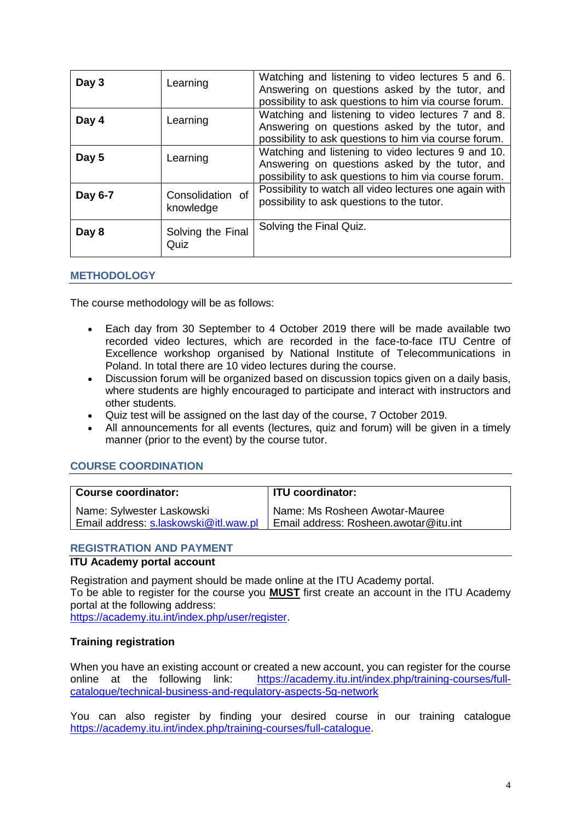| Day 3   | Learning                      | Watching and listening to video lectures 5 and 6.<br>Answering on questions asked by the tutor, and<br>possibility to ask questions to him via course forum.  |
|---------|-------------------------------|---------------------------------------------------------------------------------------------------------------------------------------------------------------|
| Day 4   | Learning                      | Watching and listening to video lectures 7 and 8.<br>Answering on questions asked by the tutor, and<br>possibility to ask questions to him via course forum.  |
| Day 5   | Learning                      | Watching and listening to video lectures 9 and 10.<br>Answering on questions asked by the tutor, and<br>possibility to ask questions to him via course forum. |
| Day 6-7 | Consolidation of<br>knowledge | Possibility to watch all video lectures one again with<br>possibility to ask questions to the tutor.                                                          |
| Day 8   | Solving the Final<br>Quiz     | Solving the Final Quiz.                                                                                                                                       |

#### **METHODOLOGY**

The course methodology will be as follows:

- Each day from 30 September to 4 October 2019 there will be made available two recorded video lectures, which are recorded in the face-to-face ITU Centre of Excellence workshop organised by National Institute of Telecommunications in Poland. In total there are 10 video lectures during the course.
- Discussion forum will be organized based on discussion topics given on a daily basis, where students are highly encouraged to participate and interact with instructors and other students.
- Quiz test will be assigned on the last day of the course, 7 October 2019.
- All announcements for all events (lectures, quiz and forum) will be given in a timely manner (prior to the event) by the course tutor.

#### **COURSE COORDINATION**

| <b>Course coordinator:</b>            | ITU coordinator:                      |
|---------------------------------------|---------------------------------------|
| Name: Sylwester Laskowski             | Name: Ms Rosheen Awotar-Mauree        |
| Email address: s.laskowski@itl.waw.pl | Email address: Rosheen.awotar@itu.int |

#### **REGISTRATION AND PAYMENT**

## **ITU Academy portal account**

Registration and payment should be made online at the ITU Academy portal. To be able to register for the course you **MUST** first create an account in the ITU Academy portal at the following address: [https://academy.itu.int/index.php/user/register.](https://academy.itu.int/index.php/user/register)

#### **Training registration**

When you have an existing account or created a new account, you can register for the course online at the following link: [https://academy.itu.int/index.php/training-courses/full](https://academy.itu.int/index.php/training-courses/full-catalogue/technical-business-and-regulatory-aspects-5g-network)[catalogue/technical-business-and-regulatory-aspects-5g-network](https://academy.itu.int/index.php/training-courses/full-catalogue/technical-business-and-regulatory-aspects-5g-network)

You can also register by finding your desired course in our training catalogue [https://academy.itu.int/index.php/training-courses/full-catalogue.](https://academy.itu.int/index.php/training-courses/full-catalogue)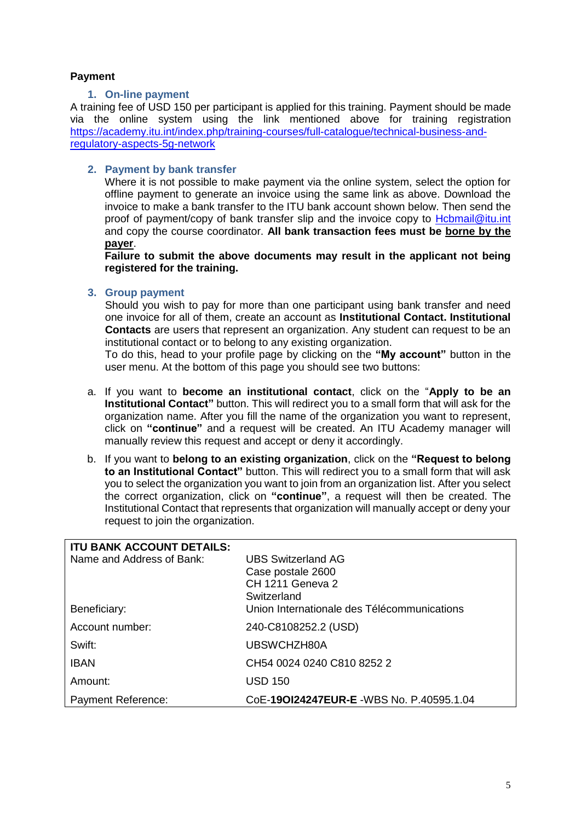# **Payment**

# **1. On-line payment**

A training fee of USD 150 per participant is applied for this training. Payment should be made via the online system using the link mentioned above for training registration [https://academy.itu.int/index.php/training-courses/full-catalogue/technical-business-and](https://academy.itu.int/index.php/training-courses/full-catalogue/technical-business-and-regulatory-aspects-5g-network)[regulatory-aspects-5g-network](https://academy.itu.int/index.php/training-courses/full-catalogue/technical-business-and-regulatory-aspects-5g-network)

# **2. Payment by bank transfer**

Where it is not possible to make payment via the online system, select the option for offline payment to generate an invoice using the same link as above. Download the invoice to make a bank transfer to the ITU bank account shown below. Then send the proof of payment/copy of bank transfer slip and the invoice copy to [Hcbmail@itu.int](mailto:Hcbmail@itu.int) and copy the course coordinator. **All bank transaction fees must be borne by the payer**.

**Failure to submit the above documents may result in the applicant not being registered for the training.**

## **3. Group payment**

Should you wish to pay for more than one participant using bank transfer and need one invoice for all of them, create an account as **Institutional Contact. Institutional Contacts** are users that represent an organization. Any student can request to be an institutional contact or to belong to any existing organization.

To do this, head to your profile page by clicking on the **"My account"** button in the user menu. At the bottom of this page you should see two buttons:

- a. If you want to **become an institutional contact**, click on the "**Apply to be an Institutional Contact"** button. This will redirect you to a small form that will ask for the organization name. After you fill the name of the organization you want to represent, click on **"continue"** and a request will be created. An ITU Academy manager will manually review this request and accept or deny it accordingly.
- b. If you want to **belong to an existing organization**, click on the **"Request to belong to an Institutional Contact"** button. This will redirect you to a small form that will ask you to select the organization you want to join from an organization list. After you select the correct organization, click on **"continue"**, a request will then be created. The Institutional Contact that represents that organization will manually accept or deny your request to join the organization.

| <b>ITU BANK ACCOUNT DETAILS:</b> |                                             |
|----------------------------------|---------------------------------------------|
| Name and Address of Bank:        | UBS Switzerland AG                          |
|                                  | Case postale 2600                           |
|                                  | CH 1211 Geneva 2                            |
|                                  | Switzerland                                 |
| Beneficiary:                     | Union Internationale des Télécommunications |
| Account number:                  | 240-C8108252.2 (USD)                        |
| Swift:                           | UBSWCHZH80A                                 |
| <b>IBAN</b>                      | CH54 0024 0240 C810 8252 2                  |
| Amount:                          | <b>USD 150</b>                              |
| <b>Payment Reference:</b>        | CoE-190124247EUR-E -WBS No. P.40595.1.04    |